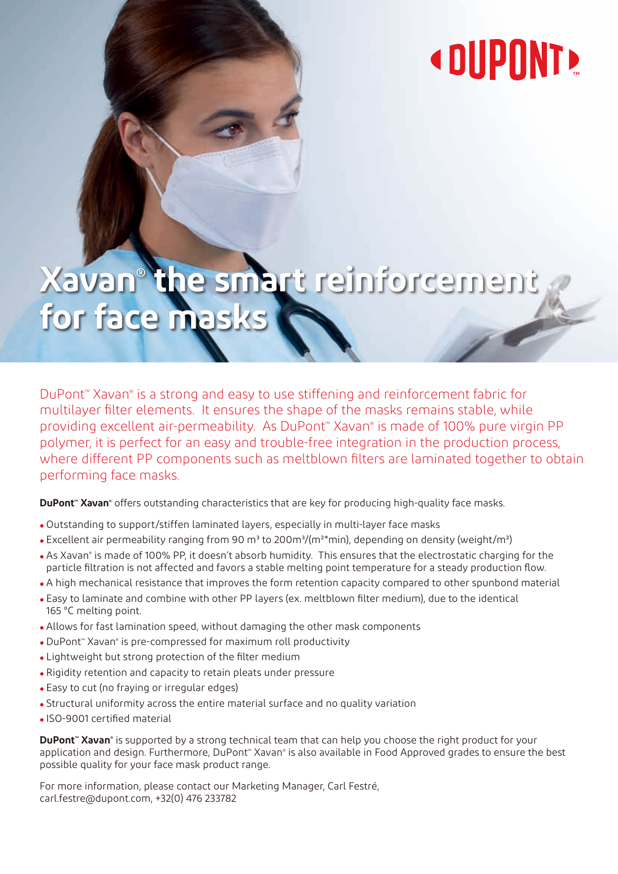# **« DUPONT!**

# **Xavan® the smart reinforcement**  for face mas

DuPont™ Xavan® is a strong and easy to use stiffening and reinforcement fabric for multilayer filter elements. It ensures the shape of the masks remains stable, while providing excellent air-permeability. As DuPont™ Xavan® is made of 100% pure virgin PP polymer, it is perfect for an easy and trouble-free integration in the production process, where different PP components such as meltblown filters are laminated together to obtain performing face masks.

DuPont<sup>™</sup> Xavan® offers outstanding characteristics that are key for producing high-quality face masks.

- Outstanding to support/stiffen laminated layers, especially in multi-layer face masks
- Excellent air permeability ranging from 90 m<sup>3</sup> to 200m<sup>3</sup>/(m<sup>2\*</sup>min), depending on density (weight/m<sup>2</sup>)
- . As Xavan® is made of 100% PP, it doesn't absorb humidity. This ensures that the electrostatic charging for the particle filtration is not affected and favors a stable melting point temperature for a steady production flow.
- A high mechanical resistance that improves the form retention capacity compared to other spunbond material
- Easy to laminate and combine with other PP layers (ex. meltblown filter medium), due to the identical 165 °C melting point.
- Allows for fast lamination speed, without damaging the other mask components
- DuPont™ Xavan® is pre-compressed for maximum roll productivity
- Lightweight but strong protection of the filter medium
- Rigidity retention and capacity to retain pleats under pressure
- Easy to cut (no fraying or irregular edges)
- Structural uniformity across the entire material surface and no quality variation
- ISO-9001 certified material

**DuPont™ Xavan®** is supported by a strong technical team that can help you choose the right product for your application and design. Furthermore, DuPont™ Xavan® is also available in Food Approved grades to ensure the best possible quality for your face mask product range.

For more information, please contact our Marketing Manager, Carl Festré, carl.festre@dupont.com, +32(0) 476 233782